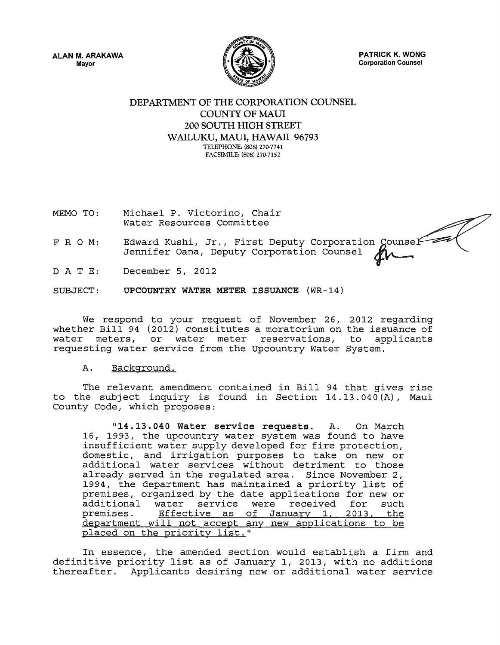ALAN M. ARAKAWA Mayor



PATRICK K. WONG Corporation Counsel

## DEPARTMENT OF THE CORPORATION COUNSEL COUNTY OF MAUI 200 SOUTH HIGH STREET WAILUKU, MAUI, HAWAII 96793 TELEPHONE: (808) 270.7741 FACSIMILE: (808) 270.7152

- MEMO TO: Michael P. Victorino, Chair Water Resources Committee
- F R 0 M: Edward Kushi, Jr., First Deputy Corporation Counsel<br>Jennifer Oana, Deputy Corporation Counsel
- D A T E: December 5, 2012

SUBJECT: UPCOUNTRY WATER METER ISSUANCE (WR-14)

We respond to your request of November *26 <sup>1</sup>*2012 regarding whether Bill 94 (2012) constitutes a moratorium on the issuance of water meters, or water meter reservations, to applicants requesting water service from the Upcountry Water System.

#### A. Background.

The relevant amendment contained in Bill 94 that gives rise to the subject inquiry is found in Section  $14.13.040 (A)$ , Maui County *Code <sup>1</sup>*which proposes:

"14 .13. 040 Water service requests. A. On March 16, 1993, the upcountry water system was found to have insufficient water supply developed for fire protection, domestic, and irrigation purposes to take on new or additional water services without detriment to those already served in the regulated area. Since November *<sup>2</sup> <sup>1</sup>* 1994, the department has maintained a priority list of premises, organized by the date applications for new or additional water service were received for such premises. Effective as of January 1, 2013, the department will not accept any new applications to be placed on the priority list."

In essence, the amended section would establish a firm and definitive priority list as of January 1, 2013, with no additions thereafter. Applicants desiring new or additional water service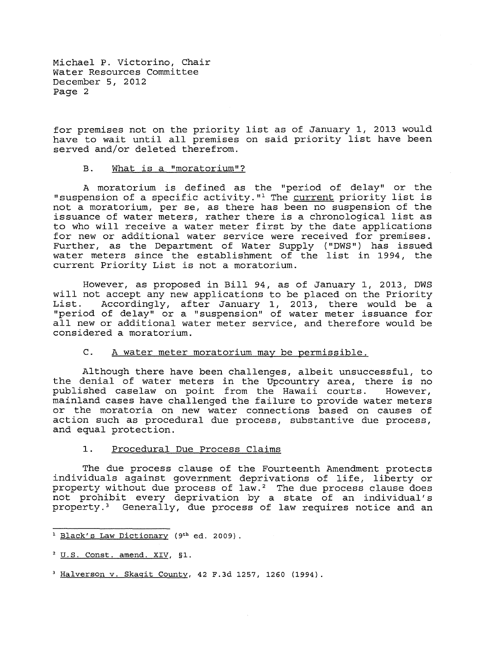for premises not on the priority list as of January 1, 2013 would have to wait until all premises on said priority list have been served and/or deleted therefrom.

# B. What is a "moratorium"?

A moratorium is defined as the "period of delay" or the "suspension of a specific activity."<sup>1</sup> The current priority list is not a moratorium, per se, as there has been no suspension of the issuance of water meters, rather there is a chronological list as to who will receive a water meter first by the date applications for new or additional water service were received for premises. Further, as the Department of Water Supply ( "DWS") has issued water meters since the establishment of the list in 1994, the current Priority List is not a moratorium.

However, as proposed in Bill 94, as of January 1, 2013, DWS will not accept any new applications to be placed on the Priority<br>List. Accordingly, after January 1, 2013, there would be a List. Accordingly, after January 1, 2013, there would be a "period of delay" or a "suspension" of water meter issuance for all new or additional water meter service, and therefore would be considered a moratorium.

## C. A water meter moratorium may be permissible.

Although there have been challenges, albeit unsuccessful, to the denial of water meters in the Upcountry area, there is no<br>published caselaw on point from the Hawaii courts. However, published caselaw on point from the Hawaii courts. mainland cases have challenged the failure to provide water meters or the moratoria on new water connections based on causes of action such as procedural due process, substantive due process, and equal protection.

### 1. Procedural Due Process Claims

The due process clause of the Fourteenth Amendment protects individuals against government deprivations of life, liberty or property without due process of law.<sup>2</sup> The due process clause does not prohibit every deprivation by a state of an individual's property. 3 Generally, due process of law requires notice and an

<sup>&</sup>lt;sup>1</sup> Black's Law Dictionary (9<sup>th</sup> ed. 2009).

<sup>2</sup> U.S. Const. amend. XIV, §1.

<sup>3</sup> Halverson v. Skagit County, 42 F.3d 1257, 1260 (1994).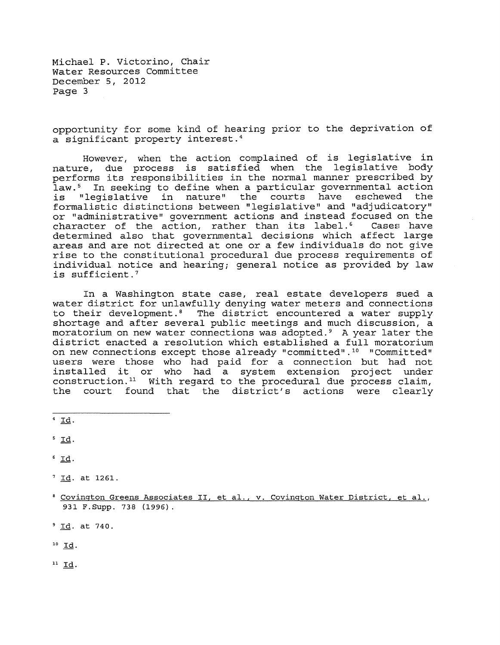opportunity for some kind of hearing prior to the deprivation of a significant property interest. <sup>4</sup>

However, when the action complained of is legislative in nature, due process is satisfied when the legislative body performs its responsibilities in the normal manner prescribed by law.<sup>5</sup> In seeking to define when a particular governmental action is "legislative in nature" the courts have eschewed the formalistic distinctions between "legislative" and "adjudicatory" or "administrative" government actions and instead focused on the<br>character of the action, rather than its label.<sup>6</sup> Cases have character of the action, rather than its label.<sup>6</sup> determined also that governmental decisions which affect large areas and are not directed at one or a few individuals do not give rise to the constitutional procedural due process requirements of individual notice and hearing; general notice as provided by law is sufficient.<sup>7</sup>

In a Washington state case, real estate developers sued a water district for unlawfully denying water meters and connections to their development.<sup>8</sup> The district encountered a water supply shortage and after several public meetings and much discussion, a moratorium on new water connections was adopted. 9 A year later the district enacted a resolution which established a full moratorium on new connections except those already "committed".<sup>10</sup> "Committed" users were those who had paid for a connection but had not installed it or who had a system extension project under construction.<sup>11</sup> With regard to the procedural due process claim, the court found that the district's actions were clearly

 $4$  Id.

 $5 \underline{Id}$ .

- $6$  Id.
- $7 \underline{Id}$ . at 1261.
- <sup>8</sup> Covington Greens Associates II, et al., v. Covington Water District, et al., 931 F.Supp. 738 (1996).

9 Id. at 740.

 $^{10}$  Id.

 $11$  Id.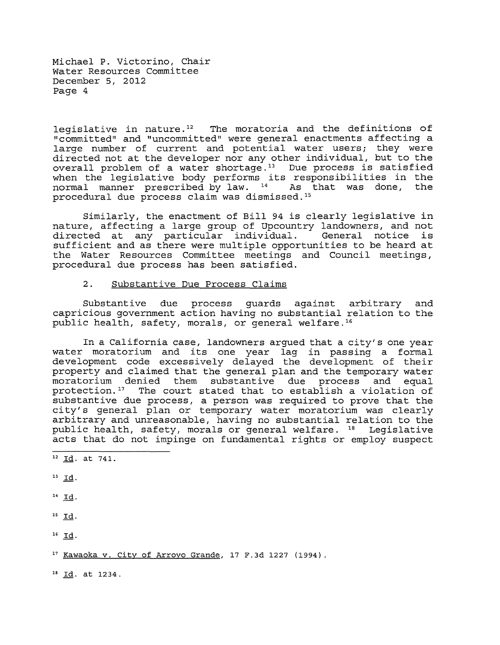legislative in nature.<sup>12</sup> The moratoria and the definitions of "committed" and "uncommitted" were general enactments affecting a large number of current and potential water users; they were directed not at the developer nor any other individual, but to the overall problem of a water shortage.<sup>13</sup> Due process is satisfied when the legislative body performs its responsibilities in the normal manner prescribed by law.  $14$  As that was done, the normal manner prescribed by law. <sup>14</sup> procedural due process claim was dismissed. <sup>15</sup>

Similarly, the enactment of Bill 94 is clearly legislative in nature, affecting a large group of Upcountry landowners, and not directed at any particular individual. General notice is sufficient and as there were multiple opportunities to be heard at the Water Resources Committee meetings and Council meetings, procedural due process has been satisfied.

## 2. Substantive Due Process Claims

Substantive due process guards against arbitrary and capricious government action having no substantial relation to the public health, safety, morals, or general welfare.<sup>16</sup>

In a California case, landowners argued that a city's one year water moratorium and its one year lag in passing a formal development code excessively delayed the development of their property and claimed that the general plan and the temporary water moratorium denied them substantive due process and equal protection.<sup>17</sup> The court stated that to establish a violation of substantive due process, a person was required to prove that the city's general plan or temporary water moratorium was clearly arbitrary and unreasonable, having no substantial relation to the public health, safety, morals or general welfare. 18 Legislative acts that do not impinge on fundamental rights or employ suspect

 $12$  Id. at 741.

 $^{13}$  Id.

 $14$   $\underline{Id}$ .

 $15$   $Id.$ 

16 Id.

17 Kawaoka v. City of Arroyo Grande, 17 F.3d 1227 (1994).

18 Id. at 1234.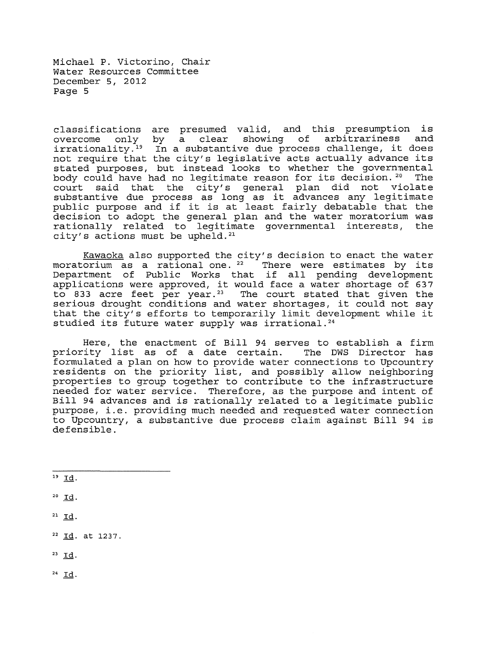classifications are presumed valid, and this presumption is overcome only by a clear showing of arbitrariness and overcome only by a clear showing of andicialiness and<br>irrationality.<sup>19</sup> In a substantive due process challenge, it does not require that the city's legislative acts actually advance its stated purposes, but instead looks to whether the governmental body could have had no legitimate reason for its decision. 20 The court said that the city's general plan did not violate substantive due process as long as it advances any legitimate public purpose and if it is at least fairly debatable that the decision to adopt the general plan and the water moratorium was rationally related to legitimate governmental interests, the city's actions must be upheld. <sup>21</sup>

Kawaoka also supported the city's decision to enact the water moratorium as a rational one.<sup>22</sup> There were estimates by its Department of Public Works that if all pending development applications were approved, it would face a water shortage of 637 to 833 acre feet per year.<sup>23</sup> The court stated that given the serious drought conditions and water shortages, it could not say that the city's efforts to temporarily limit development while it studied its future water supply was irrational.<sup>24</sup>

Here, the enactment of Bill 94 serves to establish a firm priority list as of a date certain. The DWS Director has formulated a plan on how to provide water connections to Upcountry residents on the priority list, and possibly allow neighboring properties to group together to contribute to the infrastructure needed for water service. Therefore, as the purpose and intent of Bill 94 advances and is rationally related to a legitimate public purpose, i.e. providing much needed and requested water connection to Upcountry, a substantive due process claim against Bill 94 is defensible.

- $20$  Id.
- 21 Id.
- 22 Id. at 1237.
- $23 \underline{Id}$ .
- 24 Id.

 $19 \underline{Id}$ .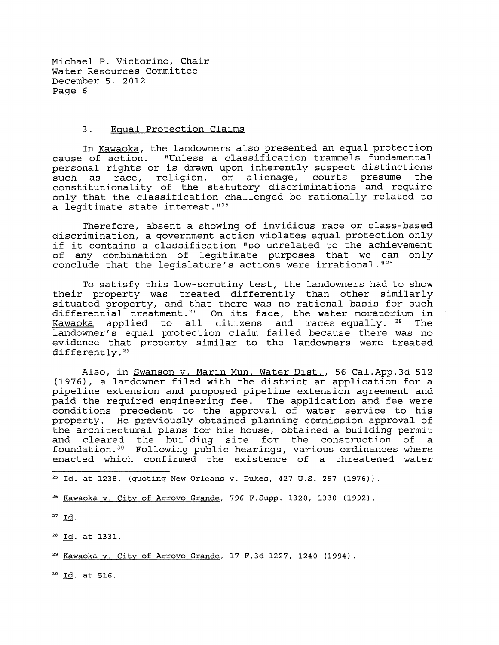#### 3. Equal Protection Claims

In Kawaoka, the landowners also presented an equal protection cause of action. "Unless a classification trammels fundamental personal rights or is drawn upon inherently suspect distinctions<br>such as race, religion, or alienage, courts presume the such as race, religion, or alienage, courts presume constitutionality of the statutory discriminations and require only that the classification challenged be rationally related to a legitimate state interest. "<sup>25</sup>

Therefore, absent a showing of invidious race or class-based discrimination, a government action violates equal protection only if it contains a classification "so unrelated to the achievement of any combination of legitimate purposes that we can only conclude that the legislature's actions were irrational."<sup>26</sup>

To satisfy this low-scrutiny test, the landowners had to show their property was treated differently than other similarly situated property, and that there was no rational basis for such differential treatment.<sup>27</sup> On its face, the water moratorium in Kawaoka applied to all citizens and races equally. <sup>28</sup> The landowner's equal protection claim failed because there was no evidence that property similar to the landowners were treated differently. 29

Also, in Swanson v. Marin Mun. Water Dist., 56 Cal.App.3d 512 (1976), a landowner filed with the district an application for a pipeline extension and proposed pipeline extension agreement and paid the required engineering fee. The application and fee were conditions precedent to the approval of water service to his property. He previously obtained planning commission approval of the architectural plans for his house, obtained a building permit and cleared the building site for the construction of a foundation.<sup>30</sup> Following public hearings, various ordinances where enacted which confirmed the existence of a threatened water

 $25 \text{ Id. at } 1238$ , (quoting New Orleans v. Dukes, 427 U.S. 297 (1976)).

26 Kawaoka v. City of Arroyo Grande, 796 F.Supp. 1320, 1330 (1992).

 $27$  Id.

<sup>28</sup> Id. at 1331.

29 Kawaoka v. City of Arroyo Grande, 17 F.3d 1227, 1240 (1994).

30 Id. at 516.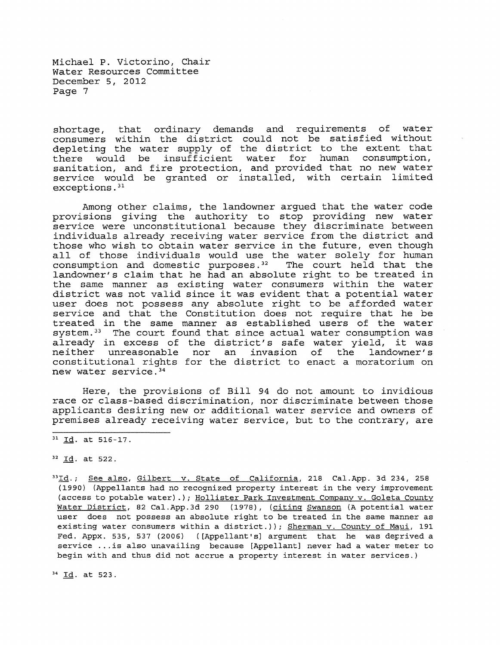shortage, that ordinary demands and requirements of water consumers within the district could not be satisfied without depleting the water supply of the district to the extent that there would be insufficient water for human consumption, sanitation, and fire protection, and provided that no new water service would be granted or installed, with certain limited exceptions. 31

Among other claims, the landowner argued that the water code provisions giving the authority to stop providing new water service were unconstitutional because they discriminate between individuals already receiving water service from the district and those who wish to obtain water service in the future, even though all of those individuals would use the water solely for human consumption and domestic purposes.<sup>32</sup> The court held that the consumption and domestic purposes.<sup>32</sup> landowner's claim that he had an absolute right to be treated in the same manner as existing water consumers within the water district was not valid since it was evident that a potential water user does not possess any absolute right to be afforded water service and that the Constitution does not require that he be treated in the same manner as established users of the water system.<sup>33</sup> The court found that since actual water consumption was already in excess of the district's safe water yield, it was neither unreasonable nor an invasion of the landowner's constitutional rights for the district to enact a moratorium on new water service. 34

Here, the provisions of Bill 94 do not amount to invidious race or class-based discrimination, nor discriminate between those applicants desiring new or additional water service and owners of premises already receiving water service, but to the contrary, are

 $31 \underline{Id}$ . at 516-17.

32 Id. at 522.

<sup>33</sup>Id.; See also, Gilbert v. State of California, 218 Cal.App. 3d 234, 258 (1990) (Appellants had no recognized property interest in the very improvement (access to potable water).); Hollister Park Investment Company v. Goleta County Water District, 82 Cal.App.3d 290 (1978), (citing Swanson (A potential water user does not possess an absolute right to be treated in the same manner as existing water consumers within a district.)); Sherman v. County of Maui, 191 Fed. Appx. 535, 537 (2006) ([Appellant's] argument that he was deprived a service ... is also unavailing because [Appellant] never had a water meter to begin with and thus did not accrue a property interest in water services.)

34 Id. at 523.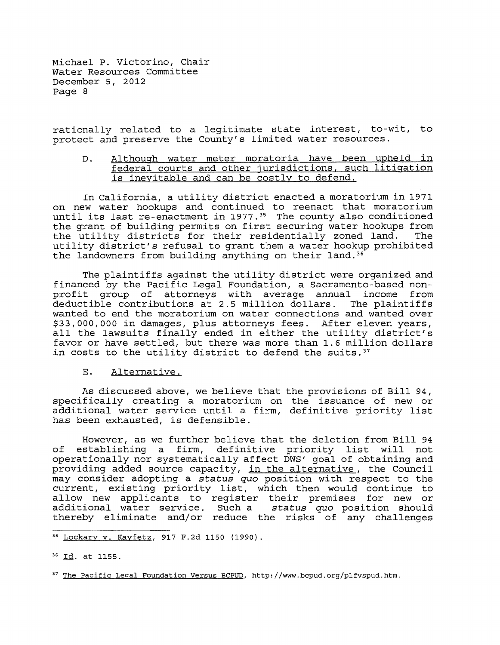rationally related to a legitimate state interest, to-wit, to protect and preserve the County's limited water resources.

D. Although water meter moratoria have been upheld in federal courts and other jurisdictions, such litigation is inevitable and can be costly to defend.

In California, a utility district enacted a moratorium in 1971 on new water hookups and continued to reenact that moratorium until its last re-enactment in 1977.<sup>35</sup> The county also conditioned the grant of building permits on first securing water hookups from<br>the utility districts for their residentially zoned land. The the utility districts for their residentially zoned land. utility district's refusal to grant them a water hookup prohibited the landowners from building anything on their land.<sup>36</sup>

The plaintiffs against the utility district were organized and financed by the Pacific Legal Foundation, a Sacramento-based nonprofit group of attorneys with average annual income from deductible contributions at 2.5 million dollars. wanted to end the moratorium on water connections and wanted over \$33,000,000 in damages, plus attorneys fees. After eleven years, all the lawsuits finally ended in either the utility district's favor or have settled, but there was more than 1.6 million dollars in costs to the utility district to defend the suits.<sup>37</sup>

E. Alternative.

As discussed above, we believe that the provisions of Bill 94, specifically creating a moratorium on the issuance of new or additional water service until a firm, definitive priority list has been exhausted, is defensible.

However, as we further believe that the deletion from Bill 94 of establishing a firm, definitive priority list will not operationally nor systematically affect DWS' goal of obtaining and providing added source capacity, in the alternative, the Council may consider adopting a *status quo* position with respect to the current, existing priority list, which then would continue to allow new applicants to register their premises for new or additional water service. Such a *status quo* position should thereby eliminate and/or reduce the risks of any challenges

<sup>35</sup> Lockary v. Kayfetz, 917 F.2d 1150 (1990).

<sup>36</sup> Id. at 1155.

<sup>&</sup>lt;sup>37</sup> The Pacific Legal Foundation Versus BCPUD, http://www.bcpud.org/plfvspud.htm.